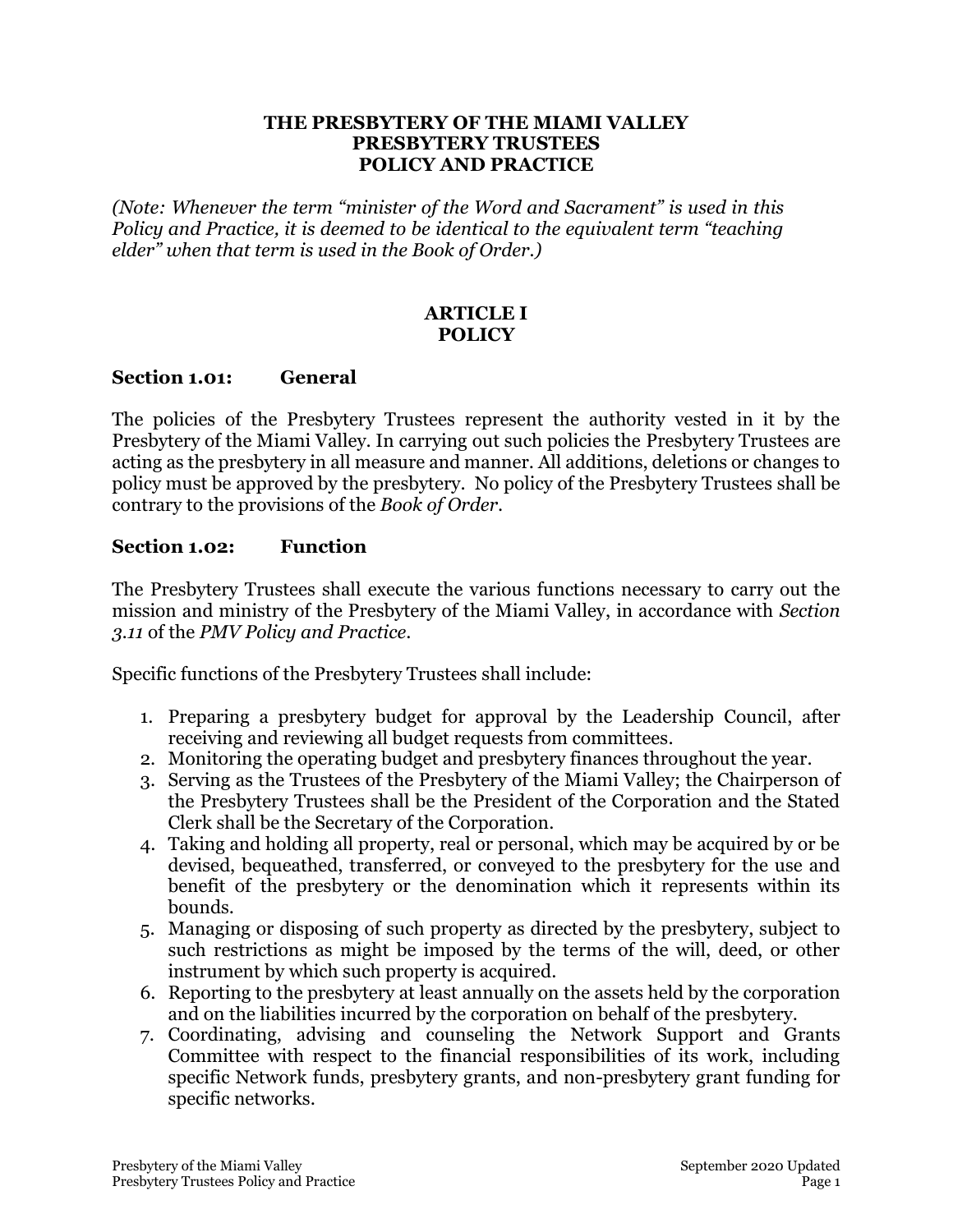#### **THE PRESBYTERY OF THE MIAMI VALLEY PRESBYTERY TRUSTEES POLICY AND PRACTICE**

*(Note: Whenever the term "minister of the Word and Sacrament" is used in this Policy and Practice, it is deemed to be identical to the equivalent term "teaching elder" when that term is used in the Book of Order.)*

### **ARTICLE I POLICY**

#### **Section 1.01: General**

The policies of the Presbytery Trustees represent the authority vested in it by the Presbytery of the Miami Valley. In carrying out such policies the Presbytery Trustees are acting as the presbytery in all measure and manner. All additions, deletions or changes to policy must be approved by the presbytery. No policy of the Presbytery Trustees shall be contrary to the provisions of the *Book of Order*.

#### **Section 1.02: Function**

The Presbytery Trustees shall execute the various functions necessary to carry out the mission and ministry of the Presbytery of the Miami Valley, in accordance with *Section 3.11* of the *PMV Policy and Practice*.

Specific functions of the Presbytery Trustees shall include:

- 1. Preparing a presbytery budget for approval by the Leadership Council, after receiving and reviewing all budget requests from committees.
- 2. Monitoring the operating budget and presbytery finances throughout the year.
- 3. Serving as the Trustees of the Presbytery of the Miami Valley; the Chairperson of the Presbytery Trustees shall be the President of the Corporation and the Stated Clerk shall be the Secretary of the Corporation.
- 4. Taking and holding all property, real or personal, which may be acquired by or be devised, bequeathed, transferred, or conveyed to the presbytery for the use and benefit of the presbytery or the denomination which it represents within its bounds.
- 5. Managing or disposing of such property as directed by the presbytery, subject to such restrictions as might be imposed by the terms of the will, deed, or other instrument by which such property is acquired.
- 6. Reporting to the presbytery at least annually on the assets held by the corporation and on the liabilities incurred by the corporation on behalf of the presbytery.
- 7. Coordinating, advising and counseling the Network Support and Grants Committee with respect to the financial responsibilities of its work, including specific Network funds, presbytery grants, and non-presbytery grant funding for specific networks.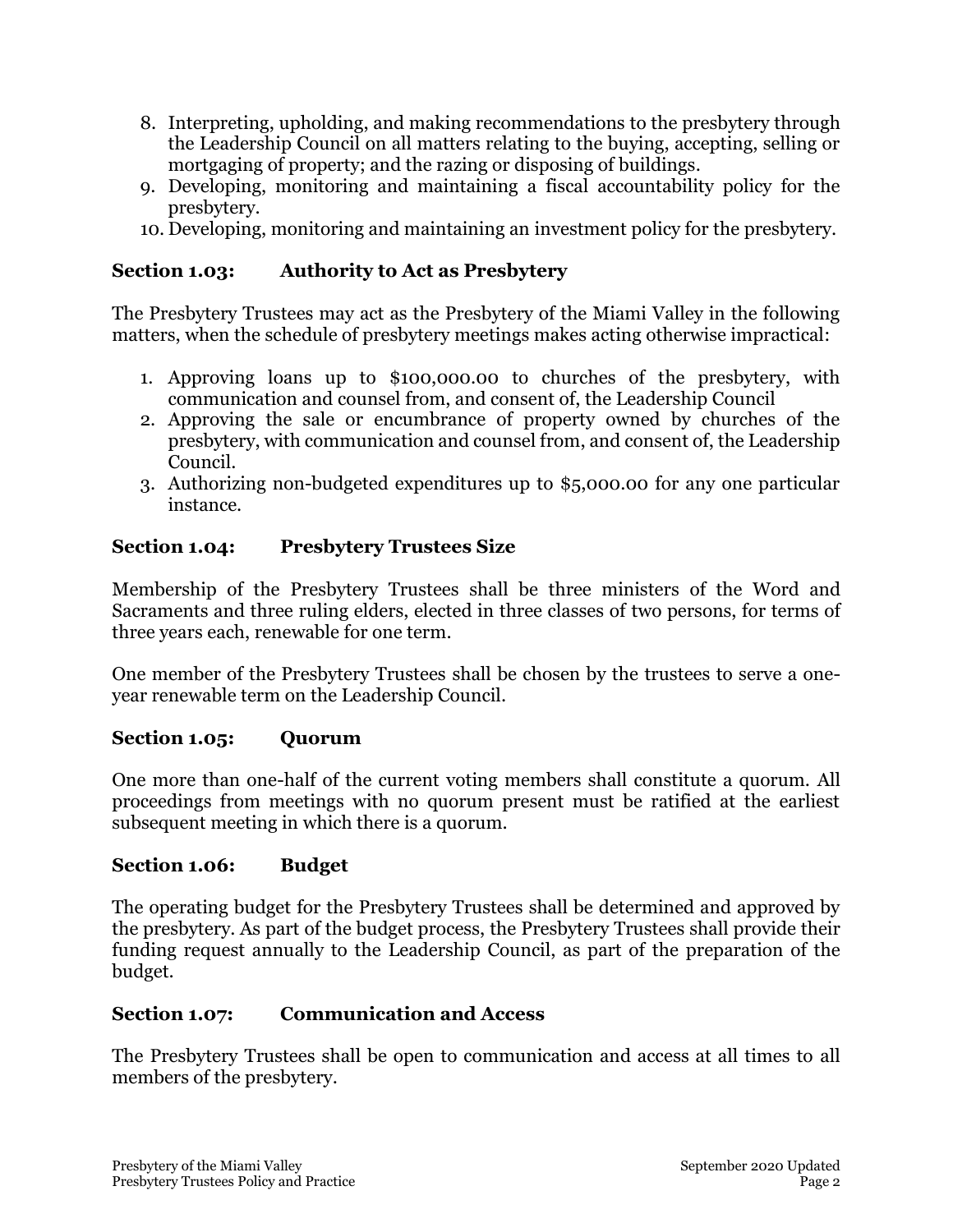- 8. Interpreting, upholding, and making recommendations to the presbytery through the Leadership Council on all matters relating to the buying, accepting, selling or mortgaging of property; and the razing or disposing of buildings.
- 9. Developing, monitoring and maintaining a fiscal accountability policy for the presbytery.
- 10. Developing, monitoring and maintaining an investment policy for the presbytery.

# **Section 1.03: Authority to Act as Presbytery**

The Presbytery Trustees may act as the Presbytery of the Miami Valley in the following matters, when the schedule of presbytery meetings makes acting otherwise impractical:

- 1. Approving loans up to \$100,000.00 to churches of the presbytery, with communication and counsel from, and consent of, the Leadership Council
- 2. Approving the sale or encumbrance of property owned by churches of the presbytery, with communication and counsel from, and consent of, the Leadership Council.
- 3. Authorizing non-budgeted expenditures up to \$5,000.00 for any one particular instance.

# **Section 1.04: Presbytery Trustees Size**

Membership of the Presbytery Trustees shall be three ministers of the Word and Sacraments and three ruling elders, elected in three classes of two persons, for terms of three years each, renewable for one term.

One member of the Presbytery Trustees shall be chosen by the trustees to serve a oneyear renewable term on the Leadership Council.

### **Section 1.05: Quorum**

One more than one-half of the current voting members shall constitute a quorum. All proceedings from meetings with no quorum present must be ratified at the earliest subsequent meeting in which there is a quorum.

### **Section 1.06: Budget**

The operating budget for the Presbytery Trustees shall be determined and approved by the presbytery. As part of the budget process, the Presbytery Trustees shall provide their funding request annually to the Leadership Council, as part of the preparation of the budget.

### **Section 1.07: Communication and Access**

The Presbytery Trustees shall be open to communication and access at all times to all members of the presbytery.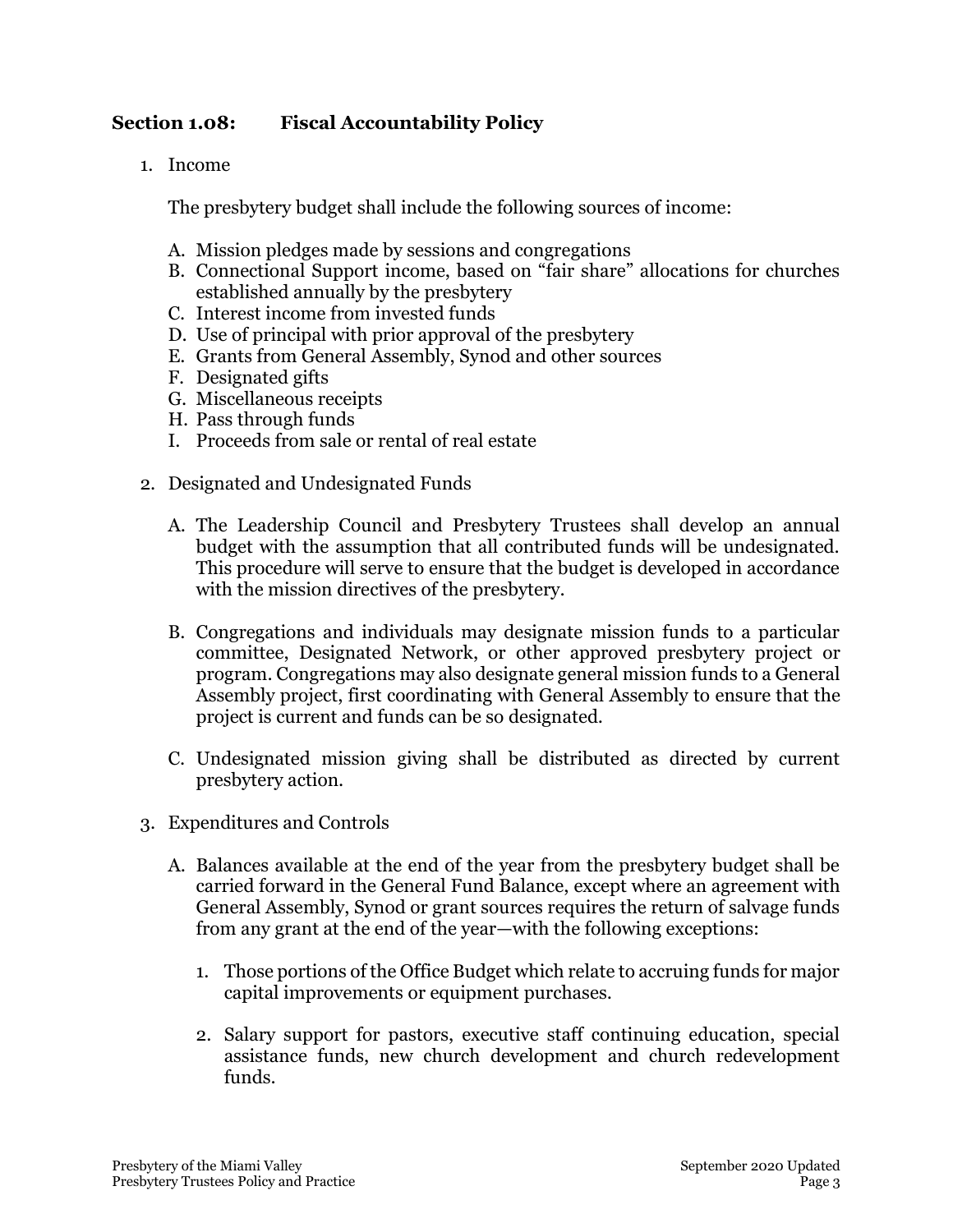# **Section 1.08: Fiscal Accountability Policy**

1. Income

The presbytery budget shall include the following sources of income:

- A. Mission pledges made by sessions and congregations
- B. Connectional Support income, based on "fair share" allocations for churches established annually by the presbytery
- C. Interest income from invested funds
- D. Use of principal with prior approval of the presbytery
- E. Grants from General Assembly, Synod and other sources
- F. Designated gifts
- G. Miscellaneous receipts
- H. Pass through funds
- I. Proceeds from sale or rental of real estate
- 2. Designated and Undesignated Funds
	- A. The Leadership Council and Presbytery Trustees shall develop an annual budget with the assumption that all contributed funds will be undesignated. This procedure will serve to ensure that the budget is developed in accordance with the mission directives of the presbytery.
	- B. Congregations and individuals may designate mission funds to a particular committee, Designated Network, or other approved presbytery project or program. Congregations may also designate general mission funds to a General Assembly project, first coordinating with General Assembly to ensure that the project is current and funds can be so designated.
	- C. Undesignated mission giving shall be distributed as directed by current presbytery action.
- 3. Expenditures and Controls
	- A. Balances available at the end of the year from the presbytery budget shall be carried forward in the General Fund Balance, except where an agreement with General Assembly, Synod or grant sources requires the return of salvage funds from any grant at the end of the year—with the following exceptions:
		- 1. Those portions of the Office Budget which relate to accruing funds for major capital improvements or equipment purchases.
		- 2. Salary support for pastors, executive staff continuing education, special assistance funds, new church development and church redevelopment funds.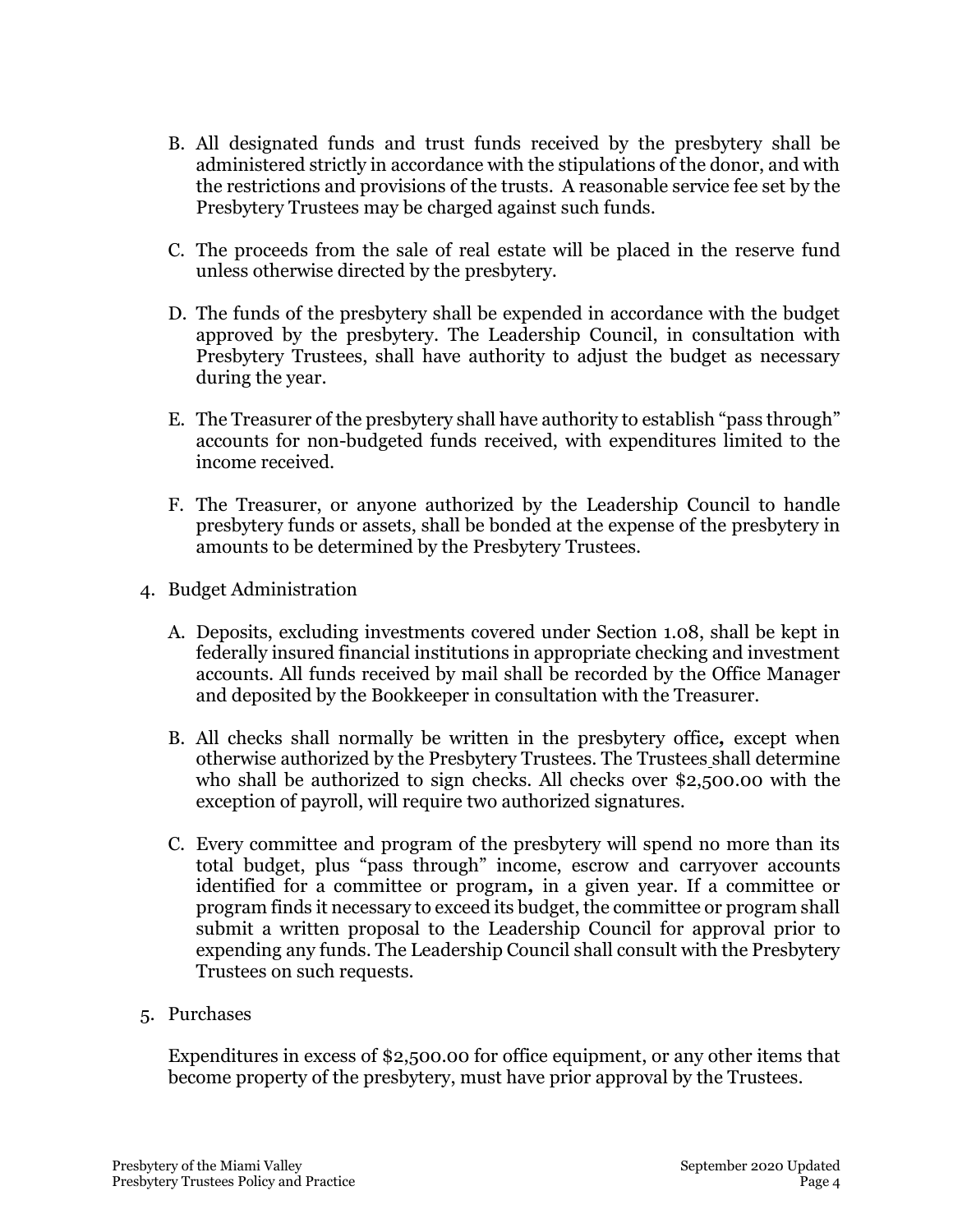- B. All designated funds and trust funds received by the presbytery shall be administered strictly in accordance with the stipulations of the donor, and with the restrictions and provisions of the trusts. A reasonable service fee set by the Presbytery Trustees may be charged against such funds.
- C. The proceeds from the sale of real estate will be placed in the reserve fund unless otherwise directed by the presbytery.
- D. The funds of the presbytery shall be expended in accordance with the budget approved by the presbytery. The Leadership Council, in consultation with Presbytery Trustees, shall have authority to adjust the budget as necessary during the year.
- E. The Treasurer of the presbytery shall have authority to establish "pass through" accounts for non-budgeted funds received, with expenditures limited to the income received.
- F. The Treasurer, or anyone authorized by the Leadership Council to handle presbytery funds or assets, shall be bonded at the expense of the presbytery in amounts to be determined by the Presbytery Trustees.
- 4. Budget Administration
	- A. Deposits, excluding investments covered under Section 1.08, shall be kept in federally insured financial institutions in appropriate checking and investment accounts. All funds received by mail shall be recorded by the Office Manager and deposited by the Bookkeeper in consultation with the Treasurer.
	- B. All checks shall normally be written in the presbytery office*,* except when otherwise authorized by the Presbytery Trustees. The Trustees shall determine who shall be authorized to sign checks. All checks over \$2,500.00 with the exception of payroll, will require two authorized signatures.
	- C. Every committee and program of the presbytery will spend no more than its total budget, plus "pass through" income, escrow and carryover accounts identified for a committee or program*,* in a given year. If a committee or program finds it necessary to exceed its budget, the committee or program shall submit a written proposal to the Leadership Council for approval prior to expending any funds. The Leadership Council shall consult with the Presbytery Trustees on such requests.
- 5. Purchases

Expenditures in excess of \$2,500.00 for office equipment, or any other items that become property of the presbytery, must have prior approval by the Trustees.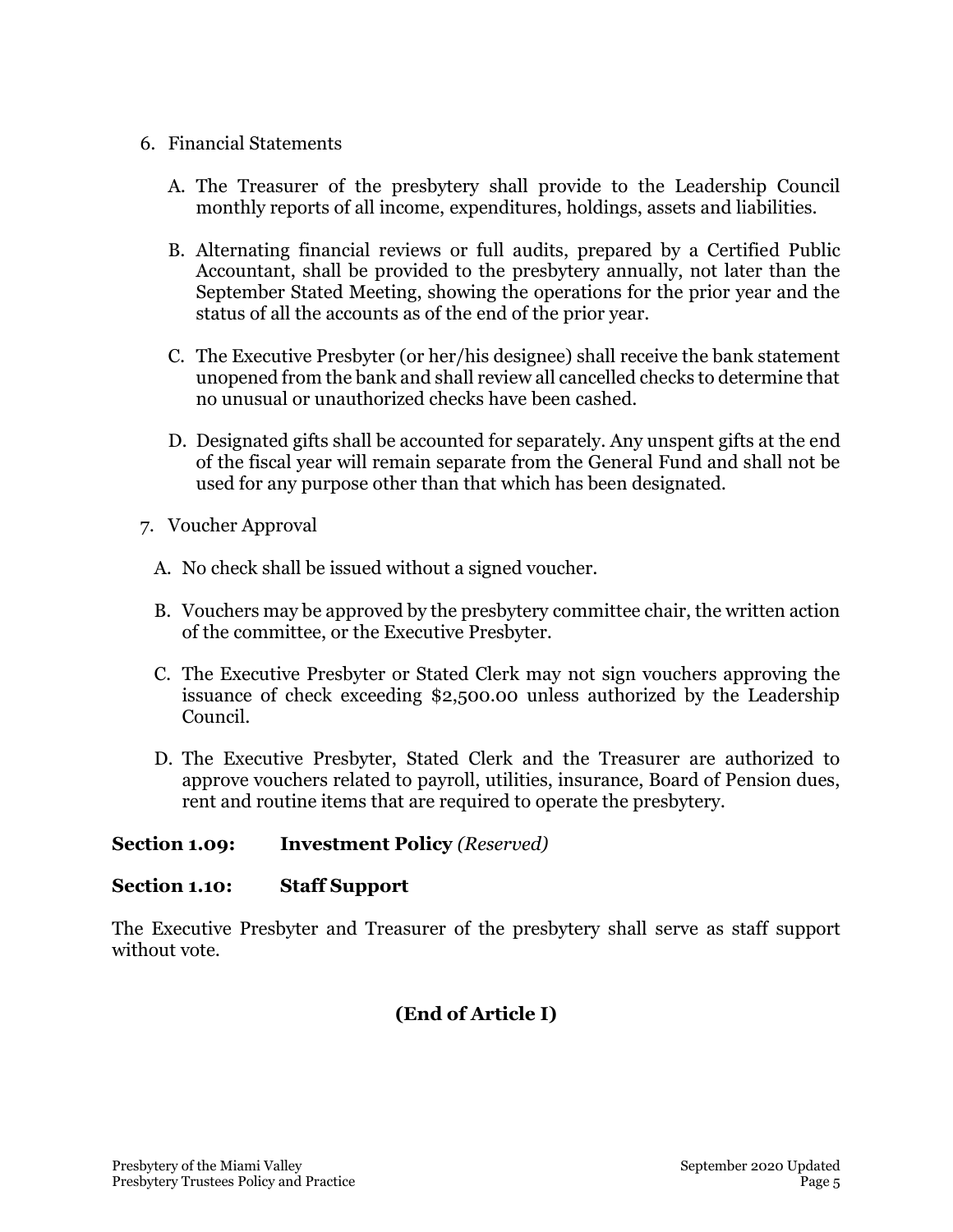#### 6. Financial Statements

- A. The Treasurer of the presbytery shall provide to the Leadership Council monthly reports of all income, expenditures, holdings, assets and liabilities.
- B. Alternating financial reviews or full audits, prepared by a Certified Public Accountant, shall be provided to the presbytery annually, not later than the September Stated Meeting, showing the operations for the prior year and the status of all the accounts as of the end of the prior year.
- C. The Executive Presbyter (or her/his designee) shall receive the bank statement unopened from the bank and shall review all cancelled checks to determine that no unusual or unauthorized checks have been cashed.
- D. Designated gifts shall be accounted for separately. Any unspent gifts at the end of the fiscal year will remain separate from the General Fund and shall not be used for any purpose other than that which has been designated.
- 7. Voucher Approval
	- A. No check shall be issued without a signed voucher.
	- B. Vouchers may be approved by the presbytery committee chair, the written action of the committee, or the Executive Presbyter.
	- C. The Executive Presbyter or Stated Clerk may not sign vouchers approving the issuance of check exceeding \$2,500.00 unless authorized by the Leadership Council.
	- D. The Executive Presbyter, Stated Clerk and the Treasurer are authorized to approve vouchers related to payroll, utilities, insurance, Board of Pension dues, rent and routine items that are required to operate the presbytery.

### **Section 1.09: Investment Policy** *(Reserved)*

### **Section 1.10: Staff Support**

The Executive Presbyter and Treasurer of the presbytery shall serve as staff support without vote.

# **(End of Article I)**